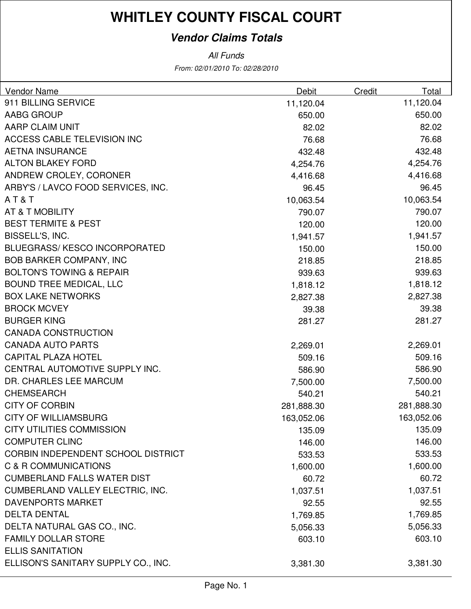### **Vendor Claims Totals**

| <b>Vendor Name</b>                  | Debit      | Credit | Total      |
|-------------------------------------|------------|--------|------------|
| 911 BILLING SERVICE                 | 11,120.04  |        | 11,120.04  |
| <b>AABG GROUP</b>                   | 650.00     |        | 650.00     |
| <b>AARP CLAIM UNIT</b>              | 82.02      |        | 82.02      |
| <b>ACCESS CABLE TELEVISION INC</b>  | 76.68      |        | 76.68      |
| <b>AETNA INSURANCE</b>              | 432.48     |        | 432.48     |
| <b>ALTON BLAKEY FORD</b>            | 4,254.76   |        | 4,254.76   |
| ANDREW CROLEY, CORONER              | 4,416.68   |        | 4,416.68   |
| ARBY'S / LAVCO FOOD SERVICES, INC.  | 96.45      |        | 96.45      |
| AT&T                                | 10,063.54  |        | 10,063.54  |
| AT & T MOBILITY                     | 790.07     |        | 790.07     |
| <b>BEST TERMITE &amp; PEST</b>      | 120.00     |        | 120.00     |
| BISSELL'S, INC.                     | 1,941.57   |        | 1,941.57   |
| <b>BLUEGRASS/KESCO INCORPORATED</b> | 150.00     |        | 150.00     |
| <b>BOB BARKER COMPANY, INC</b>      | 218.85     |        | 218.85     |
| <b>BOLTON'S TOWING &amp; REPAIR</b> | 939.63     |        | 939.63     |
| <b>BOUND TREE MEDICAL, LLC</b>      | 1,818.12   |        | 1,818.12   |
| <b>BOX LAKE NETWORKS</b>            | 2,827.38   |        | 2,827.38   |
| <b>BROCK MCVEY</b>                  | 39.38      |        | 39.38      |
| <b>BURGER KING</b>                  | 281.27     |        | 281.27     |
| <b>CANADA CONSTRUCTION</b>          |            |        |            |
| <b>CANADA AUTO PARTS</b>            | 2,269.01   |        | 2,269.01   |
| <b>CAPITAL PLAZA HOTEL</b>          | 509.16     |        | 509.16     |
| CENTRAL AUTOMOTIVE SUPPLY INC.      | 586.90     |        | 586.90     |
| DR. CHARLES LEE MARCUM              | 7,500.00   |        | 7,500.00   |
| <b>CHEMSEARCH</b>                   | 540.21     |        | 540.21     |
| <b>CITY OF CORBIN</b>               | 281,888.30 |        | 281,888.30 |
| <b>CITY OF WILLIAMSBURG</b>         | 163,052.06 |        | 163,052.06 |
| <b>CITY UTILITIES COMMISSION</b>    | 135.09     |        | 135.09     |
| <b>COMPUTER CLINC</b>               | 146.00     |        | 146.00     |
| CORBIN INDEPENDENT SCHOOL DISTRICT  | 533.53     |        | 533.53     |
| C & R COMMUNICATIONS                | 1,600.00   |        | 1,600.00   |
| <b>CUMBERLAND FALLS WATER DIST</b>  | 60.72      |        | 60.72      |
| CUMBERLAND VALLEY ELECTRIC, INC.    | 1,037.51   |        | 1,037.51   |
| <b>DAVENPORTS MARKET</b>            | 92.55      |        | 92.55      |
| <b>DELTA DENTAL</b>                 | 1,769.85   |        | 1,769.85   |
| DELTA NATURAL GAS CO., INC.         | 5,056.33   |        | 5,056.33   |
| <b>FAMILY DOLLAR STORE</b>          | 603.10     |        | 603.10     |
| <b>ELLIS SANITATION</b>             |            |        |            |
| ELLISON'S SANITARY SUPPLY CO., INC. | 3,381.30   |        | 3,381.30   |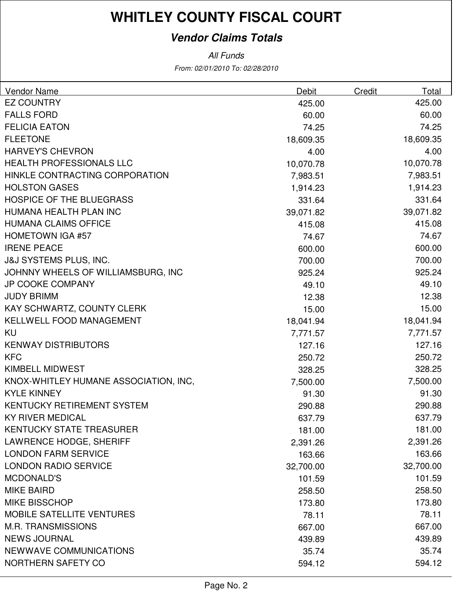### **Vendor Claims Totals**

| <b>Vendor Name</b>                    | Debit     | Credit | Total     |
|---------------------------------------|-----------|--------|-----------|
| <b>EZ COUNTRY</b>                     | 425.00    |        | 425.00    |
| <b>FALLS FORD</b>                     | 60.00     |        | 60.00     |
| <b>FELICIA EATON</b>                  | 74.25     |        | 74.25     |
| <b>FLEETONE</b>                       | 18,609.35 |        | 18,609.35 |
| <b>HARVEY'S CHEVRON</b>               | 4.00      |        | 4.00      |
| <b>HEALTH PROFESSIONALS LLC</b>       | 10,070.78 |        | 10,070.78 |
| HINKLE CONTRACTING CORPORATION        | 7,983.51  |        | 7,983.51  |
| <b>HOLSTON GASES</b>                  | 1,914.23  |        | 1,914.23  |
| <b>HOSPICE OF THE BLUEGRASS</b>       | 331.64    |        | 331.64    |
| HUMANA HEALTH PLAN INC                | 39,071.82 |        | 39,071.82 |
| <b>HUMANA CLAIMS OFFICE</b>           | 415.08    |        | 415.08    |
| <b>HOMETOWN IGA #57</b>               | 74.67     |        | 74.67     |
| <b>IRENE PEACE</b>                    | 600.00    |        | 600.00    |
| <b>J&amp;J SYSTEMS PLUS, INC.</b>     | 700.00    |        | 700.00    |
| JOHNNY WHEELS OF WILLIAMSBURG, INC    | 925.24    |        | 925.24    |
| <b>JP COOKE COMPANY</b>               | 49.10     |        | 49.10     |
| <b>JUDY BRIMM</b>                     | 12.38     |        | 12.38     |
| KAY SCHWARTZ, COUNTY CLERK            | 15.00     |        | 15.00     |
| <b>KELLWELL FOOD MANAGEMENT</b>       | 18,041.94 |        | 18,041.94 |
| KU                                    | 7,771.57  |        | 7,771.57  |
| <b>KENWAY DISTRIBUTORS</b>            | 127.16    |        | 127.16    |
| <b>KFC</b>                            | 250.72    |        | 250.72    |
| <b>KIMBELL MIDWEST</b>                | 328.25    |        | 328.25    |
| KNOX-WHITLEY HUMANE ASSOCIATION, INC, | 7,500.00  |        | 7,500.00  |
| <b>KYLE KINNEY</b>                    | 91.30     |        | 91.30     |
| KENTUCKY RETIREMENT SYSTEM            | 290.88    |        | 290.88    |
| <b>KY RIVER MEDICAL</b>               | 637.79    |        | 637.79    |
| <b>KENTUCKY STATE TREASURER</b>       | 181.00    |        | 181.00    |
| <b>LAWRENCE HODGE, SHERIFF</b>        | 2,391.26  |        | 2,391.26  |
| <b>LONDON FARM SERVICE</b>            | 163.66    |        | 163.66    |
| <b>LONDON RADIO SERVICE</b>           | 32,700.00 |        | 32,700.00 |
| <b>MCDONALD'S</b>                     | 101.59    |        | 101.59    |
| <b>MIKE BAIRD</b>                     | 258.50    |        | 258.50    |
| <b>MIKE BISSCHOP</b>                  | 173.80    |        | 173.80    |
| <b>MOBILE SATELLITE VENTURES</b>      | 78.11     |        | 78.11     |
| <b>M.R. TRANSMISSIONS</b>             | 667.00    |        | 667.00    |
| <b>NEWS JOURNAL</b>                   | 439.89    |        | 439.89    |
| <b>NEWWAVE COMMUNICATIONS</b>         | 35.74     |        | 35.74     |
| <b>NORTHERN SAFETY CO</b>             | 594.12    |        | 594.12    |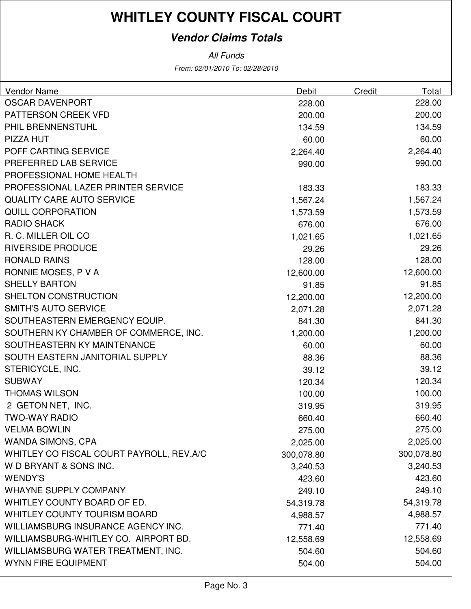### **Vendor Claims Totals**

| <b>Vendor Name</b>                       | Debit      | Credit | Total      |
|------------------------------------------|------------|--------|------------|
| <b>OSCAR DAVENPORT</b>                   | 228.00     |        | 228.00     |
| PATTERSON CREEK VFD                      | 200.00     |        | 200.00     |
| PHIL BRENNENSTUHL                        | 134.59     |        | 134.59     |
| PIZZA HUT                                | 60.00      |        | 60.00      |
| POFF CARTING SERVICE                     | 2,264.40   |        | 2,264.40   |
| PREFERRED LAB SERVICE                    | 990.00     |        | 990.00     |
| PROFESSIONAL HOME HEALTH                 |            |        |            |
| PROFESSIONAL LAZER PRINTER SERVICE       | 183.33     |        | 183.33     |
| <b>QUALITY CARE AUTO SERVICE</b>         | 1,567.24   |        | 1,567.24   |
| <b>QUILL CORPORATION</b>                 | 1,573.59   |        | 1,573.59   |
| <b>RADIO SHACK</b>                       | 676.00     |        | 676.00     |
| R. C. MILLER OIL CO                      | 1,021.65   |        | 1,021.65   |
| <b>RIVERSIDE PRODUCE</b>                 | 29.26      |        | 29.26      |
| <b>RONALD RAINS</b>                      | 128.00     |        | 128.00     |
| RONNIE MOSES, P V A                      | 12,600.00  |        | 12,600.00  |
| <b>SHELLY BARTON</b>                     | 91.85      |        | 91.85      |
| SHELTON CONSTRUCTION                     | 12,200.00  |        | 12,200.00  |
| <b>SMITH'S AUTO SERVICE</b>              | 2,071.28   |        | 2,071.28   |
| SOUTHEASTERN EMERGENCY EQUIP.            | 841.30     |        | 841.30     |
| SOUTHERN KY CHAMBER OF COMMERCE, INC.    | 1,200.00   |        | 1,200.00   |
| SOUTHEASTERN KY MAINTENANCE              | 60.00      |        | 60.00      |
| SOUTH EASTERN JANITORIAL SUPPLY          | 88.36      |        | 88.36      |
| STERICYCLE, INC.                         | 39.12      |        | 39.12      |
| <b>SUBWAY</b>                            | 120.34     |        | 120.34     |
| <b>THOMAS WILSON</b>                     | 100.00     |        | 100.00     |
| 2 GETON NET, INC.                        | 319.95     |        | 319.95     |
| <b>TWO-WAY RADIO</b>                     | 660.40     |        | 660.40     |
| <b>VELMA BOWLIN</b>                      | 275.00     |        | 275.00     |
| <b>WANDA SIMONS, CPA</b>                 | 2,025.00   |        | 2,025.00   |
| WHITLEY CO FISCAL COURT PAYROLL, REV.A/C | 300,078.80 |        | 300,078.80 |
| W D BRYANT & SONS INC.                   | 3,240.53   |        | 3,240.53   |
| <b>WENDY'S</b>                           | 423.60     |        | 423.60     |
| <b>WHAYNE SUPPLY COMPANY</b>             | 249.10     |        | 249.10     |
| WHITLEY COUNTY BOARD OF ED.              | 54,319.78  |        | 54,319.78  |
| <b>WHITLEY COUNTY TOURISM BOARD</b>      | 4,988.57   |        | 4,988.57   |
| WILLIAMSBURG INSURANCE AGENCY INC.       | 771.40     |        | 771.40     |
| WILLIAMSBURG-WHITLEY CO. AIRPORT BD.     | 12,558.69  |        | 12,558.69  |
| WILLIAMSBURG WATER TREATMENT, INC.       | 504.60     |        | 504.60     |
| <b>WYNN FIRE EQUIPMENT</b>               | 504.00     |        | 504.00     |